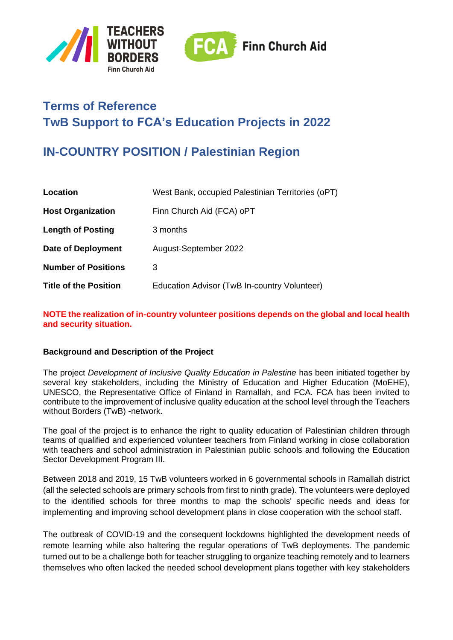



# **Terms of Reference TwB Support to FCA's Education Projects in 2022**

# **IN-COUNTRY POSITION / Palestinian Region**

| Location                     | West Bank, occupied Palestinian Territories (oPT) |
|------------------------------|---------------------------------------------------|
| <b>Host Organization</b>     | Finn Church Aid (FCA) oPT                         |
| <b>Length of Posting</b>     | 3 months                                          |
| Date of Deployment           | August-September 2022                             |
| <b>Number of Positions</b>   | 3                                                 |
| <b>Title of the Position</b> | Education Advisor (TwB In-country Volunteer)      |

**NOTE the realization of in-country volunteer positions depends on the global and local health and security situation.**

## **Background and Description of the Project**

The project *Development of Inclusive Quality Education in Palestine* has been initiated together by several key stakeholders, including the Ministry of Education and Higher Education (MoEHE), UNESCO, the Representative Office of Finland in Ramallah, and FCA. FCA has been invited to contribute to the improvement of inclusive quality education at the school level through the Teachers without Borders (TwB) -network.

The goal of the project is to enhance the right to quality education of Palestinian children through teams of qualified and experienced volunteer teachers from Finland working in close collaboration with teachers and school administration in Palestinian public schools and following the Education Sector Development Program III.

Between 2018 and 2019, 15 TwB volunteers worked in 6 governmental schools in Ramallah district (all the selected schools are primary schools from first to ninth grade). The volunteers were deployed to the identified schools for three months to map the schools' specific needs and ideas for implementing and improving school development plans in close cooperation with the school staff.

The outbreak of COVID-19 and the consequent lockdowns highlighted the development needs of remote learning while also haltering the regular operations of TwB deployments. The pandemic turned out to be a challenge both for teacher struggling to organize teaching remotely and to learners themselves who often lacked the needed school development plans together with key stakeholders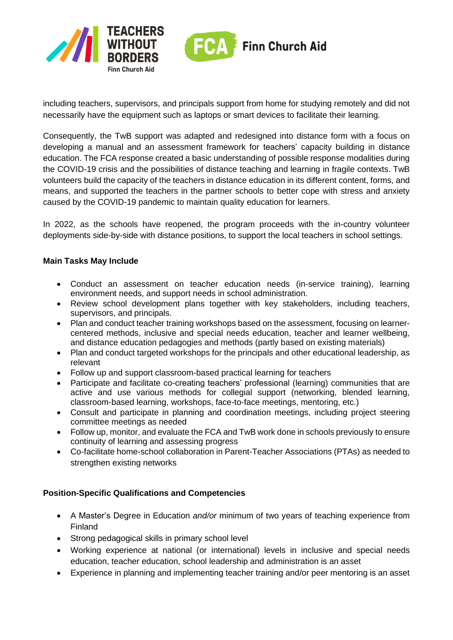



including teachers, supervisors, and principals support from home for studying remotely and did not necessarily have the equipment such as laptops or smart devices to facilitate their learning.

Consequently, the TwB support was adapted and redesigned into distance form with a focus on developing a manual and an assessment framework for teachers' capacity building in distance education. The FCA response created a basic understanding of possible response modalities during the COVID-19 crisis and the possibilities of distance teaching and learning in fragile contexts. TwB volunteers build the capacity of the teachers in distance education in its different content, forms, and means, and supported the teachers in the partner schools to better cope with stress and anxiety caused by the COVID-19 pandemic to maintain quality education for learners.

In 2022, as the schools have reopened, the program proceeds with the in-country volunteer deployments side-by-side with distance positions, to support the local teachers in school settings.

### **Main Tasks May Include**

- Conduct an assessment on teacher education needs (in-service training), learning environment needs, and support needs in school administration.
- Review school development plans together with key stakeholders, including teachers, supervisors, and principals.
- Plan and conduct teacher training workshops based on the assessment, focusing on learnercentered methods, inclusive and special needs education, teacher and learner wellbeing, and distance education pedagogies and methods (partly based on existing materials)
- Plan and conduct targeted workshops for the principals and other educational leadership, as relevant
- Follow up and support classroom-based practical learning for teachers
- Participate and facilitate co-creating teachers' professional (learning) communities that are active and use various methods for collegial support (networking, blended learning, classroom-based learning, workshops, face-to-face meetings, mentoring, etc.)
- Consult and participate in planning and coordination meetings, including project steering committee meetings as needed
- Follow up, monitor, and evaluate the FCA and TwB work done in schools previously to ensure continuity of learning and assessing progress
- Co-facilitate home-school collaboration in Parent-Teacher Associations (PTAs) as needed to strengthen existing networks

#### **Position-Specific Qualifications and Competencies**

- A Master's Degree in Education *and/or* minimum of two years of teaching experience from Finland
- Strong pedagogical skills in primary school level
- Working experience at national (or international) levels in inclusive and special needs education, teacher education, school leadership and administration is an asset
- Experience in planning and implementing teacher training and/or peer mentoring is an asset